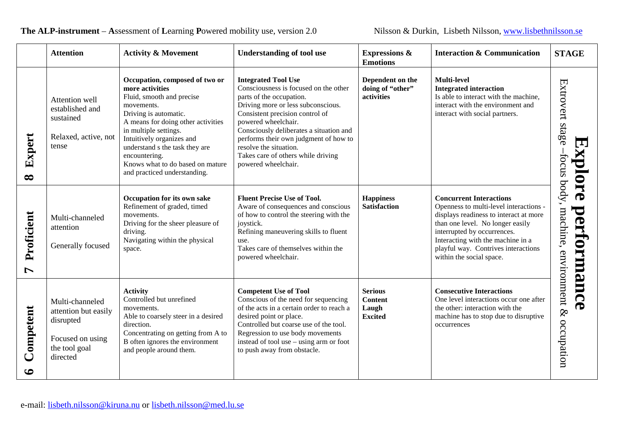|                        | <b>Attention</b>                                                                                      | <b>Activity &amp; Movement</b>                                                                                                                                                                                                                                                                                                           | <b>Understanding of tool use</b>                                                                                                                                                                                                                                                                                                                                           | <b>Expressions &amp;</b><br><b>Emotions</b>                 | <b>Interaction &amp; Communication</b>                                                                                                                                                                                                                                                        | <b>STAGE</b>                            |
|------------------------|-------------------------------------------------------------------------------------------------------|------------------------------------------------------------------------------------------------------------------------------------------------------------------------------------------------------------------------------------------------------------------------------------------------------------------------------------------|----------------------------------------------------------------------------------------------------------------------------------------------------------------------------------------------------------------------------------------------------------------------------------------------------------------------------------------------------------------------------|-------------------------------------------------------------|-----------------------------------------------------------------------------------------------------------------------------------------------------------------------------------------------------------------------------------------------------------------------------------------------|-----------------------------------------|
| Expert<br>$\infty$     | Attention well<br>established and<br>sustained<br>Relaxed, active, not<br>tense                       | Occupation, composed of two or<br>more activities<br>Fluid, smooth and precise<br>movements.<br>Driving is automatic.<br>A means for doing other activities<br>in multiple settings.<br>Intuitively organizes and<br>understand s the task they are<br>encountering.<br>Knows what to do based on mature<br>and practiced understanding. | <b>Integrated Tool Use</b><br>Consciousness is focused on the other<br>parts of the occupation.<br>Driving more or less subconscious.<br>Consistent precision control of<br>powered wheelchair.<br>Consciously deliberates a situation and<br>performs their own judgment of how to<br>resolve the situation.<br>Takes care of others while driving<br>powered wheelchair. | Dependent on the<br>doing of "other"<br>activities          | <b>Multi-level</b><br><b>Integrated interaction</b><br>Is able to interact with the machine,<br>interact with the environment and<br>interact with social partners.                                                                                                                           | Extrovert stage<br>P<br>splore<br>tocus |
| Proficient<br>L        | Multi-channeled<br>attention<br>Generally focused                                                     | Occupation for its own sake<br>Refinement of graded, timed<br>movements.<br>Driving for the sheer pleasure of<br>driving.<br>Navigating within the physical<br>space.                                                                                                                                                                    | <b>Fluent Precise Use of Tool.</b><br>Aware of consequences and conscious<br>of how to control the steering with the<br>joystick.<br>Refining maneuvering skills to fluent<br>use.<br>Takes care of themselves within the<br>powered wheelchair.                                                                                                                           | <b>Happiness</b><br><b>Satisfaction</b>                     | <b>Concurrent Interactions</b><br>Openness to multi-level interactions -<br>displays readiness to interact at more<br>than one level. No longer easily<br>interrupted by occurrences.<br>Interacting with the machine in a<br>playful way. Contrives interactions<br>within the social space. | body,<br>performance<br>machine,        |
| Competent<br>$\bullet$ | Multi-channeled<br>attention but easily<br>disrupted<br>Focused on using<br>the tool goal<br>directed | <b>Activity</b><br>Controlled but unrefined<br>movements.<br>Able to coarsely steer in a desired<br>direction.<br>Concentrating on getting from A to<br>B often ignores the environment<br>and people around them.                                                                                                                       | <b>Competent Use of Tool</b><br>Conscious of the need for sequencing<br>of the acts in a certain order to reach a<br>desired point or place.<br>Controlled but coarse use of the tool.<br>Regression to use body movements<br>instead of tool use – using arm or foot<br>to push away from obstacle.                                                                       | <b>Serious</b><br><b>Content</b><br>Laugh<br><b>Excited</b> | <b>Consecutive Interactions</b><br>One level interactions occur one after<br>the other: interaction with the<br>machine has to stop due to disruptive<br>occurrences                                                                                                                          | environment &<br>occupation             |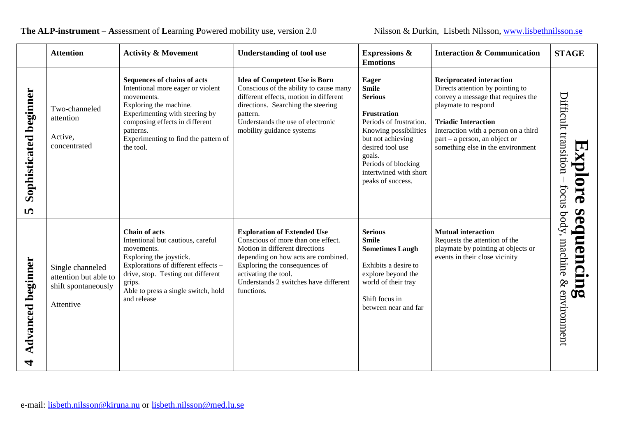|                             | <b>Attention</b>                                                              | <b>Activity &amp; Movement</b>                                                                                                                                                                                                                  | <b>Understanding of tool use</b>                                                                                                                                                                                                                                  | <b>Expressions &amp;</b><br><b>Emotions</b>                                                                                                                                                                                                | <b>Interaction &amp; Communication</b>                                                                                                                                                                                                                                       | <b>STAGE</b>                                                                                      |
|-----------------------------|-------------------------------------------------------------------------------|-------------------------------------------------------------------------------------------------------------------------------------------------------------------------------------------------------------------------------------------------|-------------------------------------------------------------------------------------------------------------------------------------------------------------------------------------------------------------------------------------------------------------------|--------------------------------------------------------------------------------------------------------------------------------------------------------------------------------------------------------------------------------------------|------------------------------------------------------------------------------------------------------------------------------------------------------------------------------------------------------------------------------------------------------------------------------|---------------------------------------------------------------------------------------------------|
| Sophisticated beginner<br>5 | Two-channeled<br>attention<br>Active,<br>concentrated                         | Sequences of chains of acts<br>Intentional more eager or violent<br>movements.<br>Exploring the machine.<br>Experimenting with steering by<br>composing effects in different<br>patterns.<br>Experimenting to find the pattern of<br>the tool.  | <b>Idea of Competent Use is Born</b><br>Conscious of the ability to cause many<br>different effects, motion in different<br>directions. Searching the steering<br>pattern.<br>Understands the use of electronic<br>mobility guidance systems                      | <b>Eager</b><br><b>Smile</b><br><b>Serious</b><br>Frustration<br>Periods of frustration.<br>Knowing possibilities<br>but not achieving<br>desired tool use<br>goals.<br>Periods of blocking<br>intertwined with short<br>peaks of success. | <b>Reciprocated interaction</b><br>Directs attention by pointing to<br>convey a message that requires the<br>playmate to respond<br><b>Triadic Interaction</b><br>Interaction with a person on a third<br>part – a person, an object or<br>something else in the environment | Difficult transition<br>C<br>splore<br>focus body,<br>$\boldsymbol{\omega}$                       |
| Advanced beginner<br>┓      | Single channeled<br>attention but able to<br>shift spontaneously<br>Attentive | <b>Chain of acts</b><br>Intentional but cautious, careful<br>movements.<br>Exploring the joystick.<br>Explorations of different effects -<br>drive, stop. Testing out different<br>grips.<br>Able to press a single switch, hold<br>and release | <b>Exploration of Extended Use</b><br>Conscious of more than one effect.<br>Motion in different directions<br>depending on how acts are combined.<br>Exploring the consequences of<br>activating the tool.<br>Understands 2 switches have different<br>functions. | <b>Serious</b><br><b>Smile</b><br><b>Sometimes Laugh</b><br>Exhibits a desire to<br>explore beyond the<br>world of their tray<br>Shift focus in<br>between near and far                                                                    | <b>Mutual interaction</b><br>Requests the attention of the<br>playmate by pointing at objects or<br>events in their close vicinity                                                                                                                                           | $\boldsymbol{\Phi}$<br>$\blacksquare$<br>luenci<br>machine<br>ມ<br>ໂປ<br>$\otimes$<br>environment |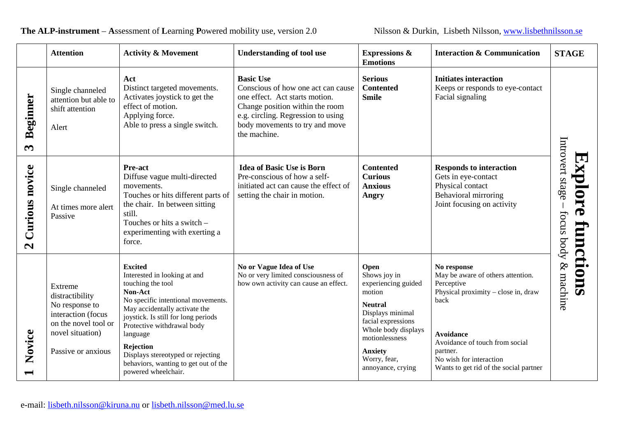**Attention Activity & Movement Understanding of tool use Expressions & Interaction & Communication STAGE Emotions Basic Use Initiates interaction Act Serious** Conscious of how one act can cause **Contented** Keeps or responds to eye-contact Distinct targeted movements. Single channeled **Beginner** Activates joystick to get the **Smile** Facial signaling one effect. Act starts motion. **Beginner** attention but able to effect of motion. Change position within the room shift attention e.g. circling. Regression to using Applying force. Able to press a single switch. body movements to try and move Alert the machine. Introvert stage Introvert stage  $\boldsymbol{\infty}$ **Explore functions** Explore **Contented Pre-act Idea of Basic Use is Born Responds to interaction** Curious novice **Curious novice** Diffuse vague multi-directed Pre-conscious of how a self-**Curious** Gets in eye-contact Physical contact movements. initiated act can cause the effect of **Anxious** Single channeled Touches or hits different parts of setting the chair in motion. Behavioral mirroring **Angry** the chair. In between sitting Joint focusing on activity At times more alert  $\overline{\phantom{a}}$ still. focus body & machine Passive focus body & Touches or hits a switch – functions experimenting with exerting a force.  $\mathbf{z}$ **Excited No or Vague Idea of Use Open No response** Interested in looking at and No or very limited consciousness of Shows joy in May be aware of others attention. experiencing guided touching the tool how own activity can cause an effect. Perceptive Extreme **Non-Act**  motion Physical proximity – close in, draw distractibility No specific intentional movements. back No response to **Neutral** May accidentally activate the Displays minimal interaction (focus joystick. Is still for long periods facial expressions on the novel tool or Protective withdrawal body Whole body displays Novice novel situation) **Novice Avoidance** language motionlessness Avoidance of touch from social **Rejection** Passive or anxious **Anxiety** partner. Displays stereotyped or rejecting Worry, fear, No wish for interaction behaviors, wanting to get out of the annoyance, crying Wants to get rid of the social partner powered wheelchair.  $\overline{\phantom{0}}$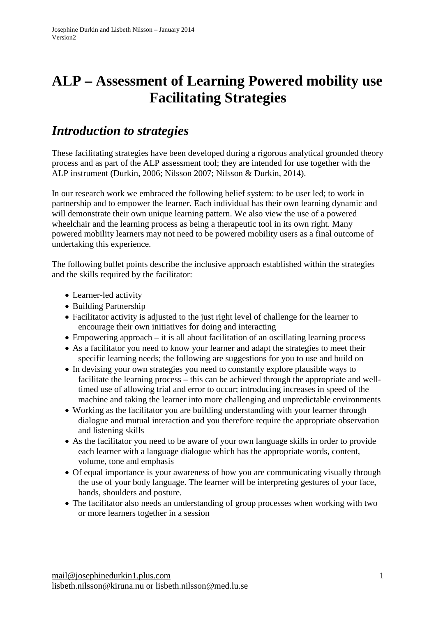# **ALP – Assessment of Learning Powered mobility use Facilitating Strategies**

## *Introduction to strategies*

These facilitating strategies have been developed during a rigorous analytical grounded theory process and as part of the ALP assessment tool; they are intended for use together with the ALP instrument (Durkin, 2006; Nilsson 2007; Nilsson & Durkin, 2014).

In our research work we embraced the following belief system: to be user led; to work in partnership and to empower the learner. Each individual has their own learning dynamic and will demonstrate their own unique learning pattern. We also view the use of a powered wheelchair and the learning process as being a therapeutic tool in its own right. Many powered mobility learners may not need to be powered mobility users as a final outcome of undertaking this experience.

The following bullet points describe the inclusive approach established within the strategies and the skills required by the facilitator:

- Learner-led activity
- Building Partnership
- Facilitator activity is adjusted to the just right level of challenge for the learner to encourage their own initiatives for doing and interacting
- Empowering approach it is all about facilitation of an oscillating learning process
- As a facilitator you need to know your learner and adapt the strategies to meet their specific learning needs; the following are suggestions for you to use and build on
- In devising your own strategies you need to constantly explore plausible ways to facilitate the learning process – this can be achieved through the appropriate and welltimed use of allowing trial and error to occur; introducing increases in speed of the machine and taking the learner into more challenging and unpredictable environments
- Working as the facilitator you are building understanding with your learner through dialogue and mutual interaction and you therefore require the appropriate observation and listening skills
- As the facilitator you need to be aware of your own language skills in order to provide each learner with a language dialogue which has the appropriate words, content, volume, tone and emphasis
- Of equal importance is your awareness of how you are communicating visually through the use of your body language. The learner will be interpreting gestures of your face, hands, shoulders and posture.
- The facilitator also needs an understanding of group processes when working with two or more learners together in a session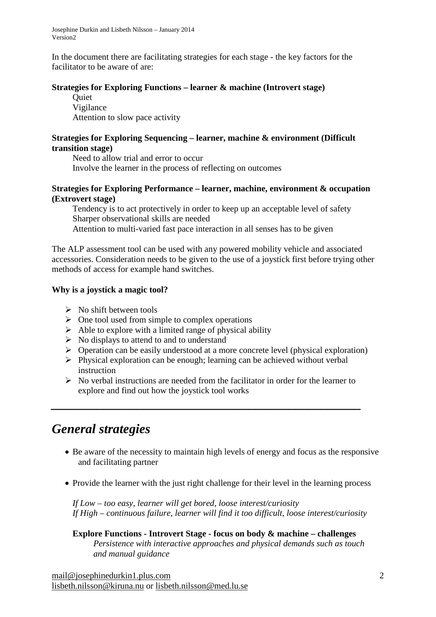In the document there are facilitating strategies for each stage - the key factors for the facilitator to be aware of are:

## **Strategies for Exploring Functions – learner & machine (Introvert stage)**

**Ouiet** Vigilance Attention to slow pace activity

## **Strategies for Exploring Sequencing – learner, machine & environment (Difficult transition stage)**

Need to allow trial and error to occur Involve the learner in the process of reflecting on outcomes

### **Strategies for Exploring Performance – learner, machine, environment & occupation (Extrovert stage)**

Tendency is to act protectively in order to keep up an acceptable level of safety Sharper observational skills are needed

Attention to multi-varied fast pace interaction in all senses has to be given

The ALP assessment tool can be used with any powered mobility vehicle and associated accessories. Consideration needs to be given to the use of a joystick first before trying other methods of access for example hand switches.

## **Why is a joystick a magic tool?**

- $\triangleright$  No shift between tools
- $\triangleright$  One tool used from simple to complex operations
- $\triangleright$  Able to explore with a limited range of physical ability
- $\triangleright$  No displays to attend to and to understand
- $\triangleright$  Operation can be easily understood at a more concrete level (physical exploration)
- $\triangleright$  Physical exploration can be enough; learning can be achieved without verbal instruction
- $\triangleright$  No verbal instructions are needed from the facilitator in order for the learner to explore and find out how the joystick tool works

*\_\_\_\_\_\_\_\_\_\_\_\_\_\_\_\_\_\_\_\_\_\_\_\_\_\_\_\_\_\_\_\_\_\_\_\_\_\_\_\_\_\_\_\_\_\_\_*

## *General strategies*

- Be aware of the necessity to maintain high levels of energy and focus as the responsive and facilitating partner
- Provide the learner with the just right challenge for their level in the learning process

*If Low – too easy, learner will get bored, loose interest/curiosity If High – continuous failure, learner will find it too difficult, loose interest/curiosity*

**Explore Functions - Introvert Stage - focus on body & machine – challenges** *Persistence with interactive approaches and physical demands such as touch and manual guidance*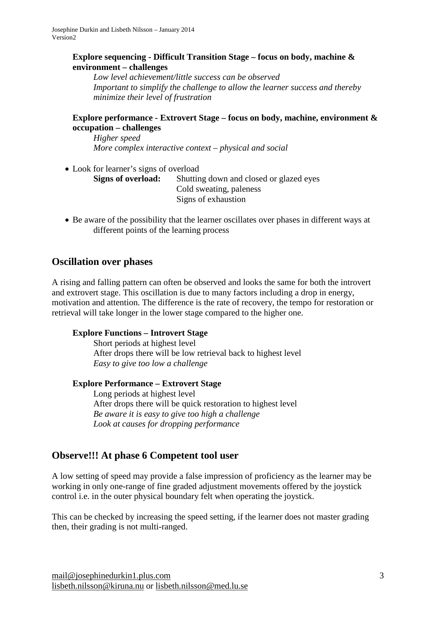## **Explore sequencing - Difficult Transition Stage – focus on body, machine & environment – challenges**

*Low level achievement/little success can be observed Important to simplify the challenge to allow the learner success and thereby minimize their level of frustration*

## **Explore performance - Extrovert Stage – focus on body, machine, environment & occupation – challenges**

*Higher speed More complex interactive context – physical and social*

• Look for learner's signs of overload **Signs of overload:** Shutting down and closed or glazed eyes Cold sweating, paleness Signs of exhaustion

• Be aware of the possibility that the learner oscillates over phases in different ways at different points of the learning process

## **Oscillation over phases**

A rising and falling pattern can often be observed and looks the same for both the introvert and extrovert stage. This oscillation is due to many factors including a drop in energy, motivation and attention. The difference is the rate of recovery, the tempo for restoration or retrieval will take longer in the lower stage compared to the higher one.

## **Explore Functions – Introvert Stage**

Short periods at highest level After drops there will be low retrieval back to highest level *Easy to give too low a challenge*

## **Explore Performance – Extrovert Stage**

Long periods at highest level After drops there will be quick restoration to highest level *Be aware it is easy to give too high a challenge Look at causes for dropping performance*

## **Observe!!! At phase 6 Competent tool user**

A low setting of speed may provide a false impression of proficiency as the learner may be working in only one-range of fine graded adjustment movements offered by the joystick control i.e. in the outer physical boundary felt when operating the joystick.

This can be checked by increasing the speed setting, if the learner does not master grading then, their grading is not multi-ranged.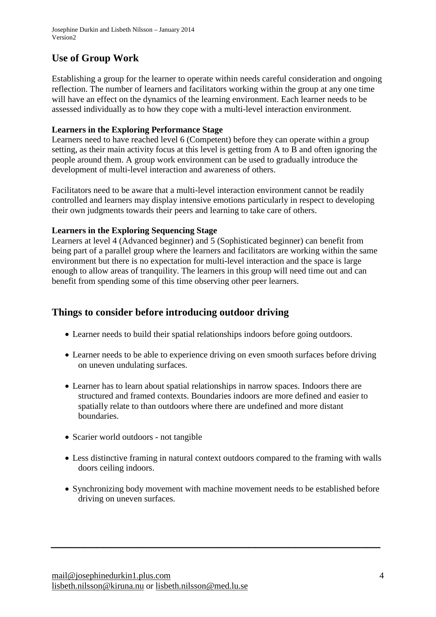## **Use of Group Work**

Establishing a group for the learner to operate within needs careful consideration and ongoing reflection. The number of learners and facilitators working within the group at any one time will have an effect on the dynamics of the learning environment. Each learner needs to be assessed individually as to how they cope with a multi-level interaction environment.

## **Learners in the Exploring Performance Stage**

Learners need to have reached level 6 (Competent) before they can operate within a group setting, as their main activity focus at this level is getting from A to B and often ignoring the people around them. A group work environment can be used to gradually introduce the development of multi-level interaction and awareness of others.

Facilitators need to be aware that a multi-level interaction environment cannot be readily controlled and learners may display intensive emotions particularly in respect to developing their own judgments towards their peers and learning to take care of others.

## **Learners in the Exploring Sequencing Stage**

Learners at level 4 (Advanced beginner) and 5 (Sophisticated beginner) can benefit from being part of a parallel group where the learners and facilitators are working within the same environment but there is no expectation for multi-level interaction and the space is large enough to allow areas of tranquility. The learners in this group will need time out and can benefit from spending some of this time observing other peer learners.

## **Things to consider before introducing outdoor driving**

- Learner needs to build their spatial relationships indoors before going outdoors.
- Learner needs to be able to experience driving on even smooth surfaces before driving on uneven undulating surfaces.
- Learner has to learn about spatial relationships in narrow spaces. Indoors there are structured and framed contexts. Boundaries indoors are more defined and easier to spatially relate to than outdoors where there are undefined and more distant boundaries.
- Scarier world outdoors not tangible
- Less distinctive framing in natural context outdoors compared to the framing with walls doors ceiling indoors.
- Synchronizing body movement with machine movement needs to be established before driving on uneven surfaces.

*\_\_\_\_\_\_\_\_\_\_\_\_\_\_\_\_\_\_\_\_\_\_\_\_\_\_\_\_\_\_\_\_\_\_\_\_\_\_\_\_\_\_\_\_\_\_\_\_\_\_*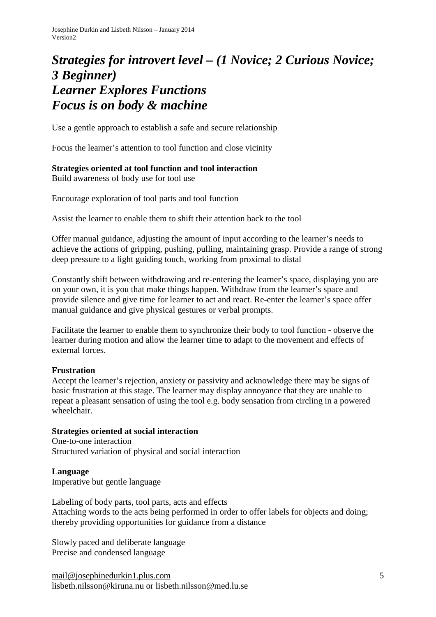## *Strategies for introvert level – (1 Novice; 2 Curious Novice; 3 Beginner) Learner Explores Functions Focus is on body & machine*

Use a gentle approach to establish a safe and secure relationship

Focus the learner's attention to tool function and close vicinity

## **Strategies oriented at tool function and tool interaction**

Build awareness of body use for tool use

Encourage exploration of tool parts and tool function

Assist the learner to enable them to shift their attention back to the tool

Offer manual guidance, adjusting the amount of input according to the learner's needs to achieve the actions of gripping, pushing, pulling, maintaining grasp. Provide a range of strong deep pressure to a light guiding touch, working from proximal to distal

Constantly shift between withdrawing and re-entering the learner's space, displaying you are on your own, it is you that make things happen. Withdraw from the learner's space and provide silence and give time for learner to act and react. Re-enter the learner's space offer manual guidance and give physical gestures or verbal prompts.

Facilitate the learner to enable them to synchronize their body to tool function - observe the learner during motion and allow the learner time to adapt to the movement and effects of external forces.

#### **Frustration**

Accept the learner's rejection, anxiety or passivity and acknowledge there may be signs of basic frustration at this stage. The learner may display annoyance that they are unable to repeat a pleasant sensation of using the tool e.g. body sensation from circling in a powered wheelchair.

#### **Strategies oriented at social interaction**

One-to-one interaction Structured variation of physical and social interaction

**Language** Imperative but gentle language

Labeling of body parts, tool parts, acts and effects Attaching words to the acts being performed in order to offer labels for objects and doing; thereby providing opportunities for guidance from a distance

Slowly paced and deliberate language Precise and condensed language

[mail@josephinedurkin1.plus.com](mailto:mail@josephinedurkin1.plus.com) [lisbeth.nilsson@kiruna.nu](mailto:lisbeth.nilsson@kiruna.nu) or lisbeth.nilsson@med.lu.se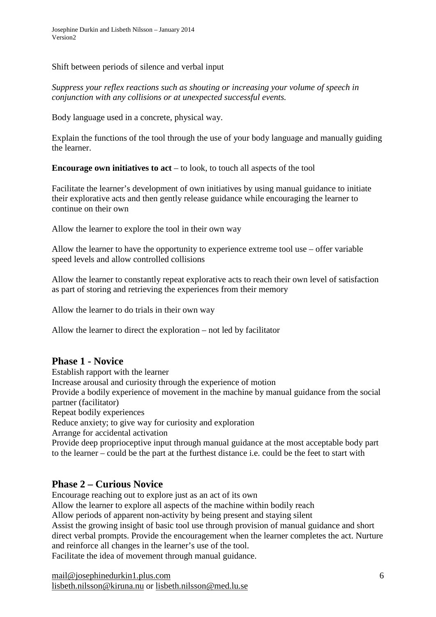Shift between periods of silence and verbal input

*Suppress your reflex reactions such as shouting or increasing your volume of speech in conjunction with any collisions or at unexpected successful events.* 

Body language used in a concrete, physical way.

Explain the functions of the tool through the use of your body language and manually guiding the learner.

**Encourage own initiatives to act** – to look, to touch all aspects of the tool

Facilitate the learner's development of own initiatives by using manual guidance to initiate their explorative acts and then gently release guidance while encouraging the learner to continue on their own

Allow the learner to explore the tool in their own way

Allow the learner to have the opportunity to experience extreme tool use – offer variable speed levels and allow controlled collisions

Allow the learner to constantly repeat explorative acts to reach their own level of satisfaction as part of storing and retrieving the experiences from their memory

Allow the learner to do trials in their own way

Allow the learner to direct the exploration – not led by facilitator

## **Phase 1 - Novice**

Establish rapport with the learner

Increase arousal and curiosity through the experience of motion

Provide a bodily experience of movement in the machine by manual guidance from the social partner (facilitator)

Repeat bodily experiences

Reduce anxiety; to give way for curiosity and exploration

Arrange for accidental activation

Provide deep proprioceptive input through manual guidance at the most acceptable body part to the learner – could be the part at the furthest distance i.e. could be the feet to start with

## **Phase 2 – Curious Novice**

Encourage reaching out to explore just as an act of its own

Allow the learner to explore all aspects of the machine within bodily reach

Allow periods of apparent non-activity by being present and staying silent

Assist the growing insight of basic tool use through provision of manual guidance and short direct verbal prompts. Provide the encouragement when the learner completes the act. Nurture and reinforce all changes in the learner's use of the tool.

Facilitate the idea of movement through manual guidance.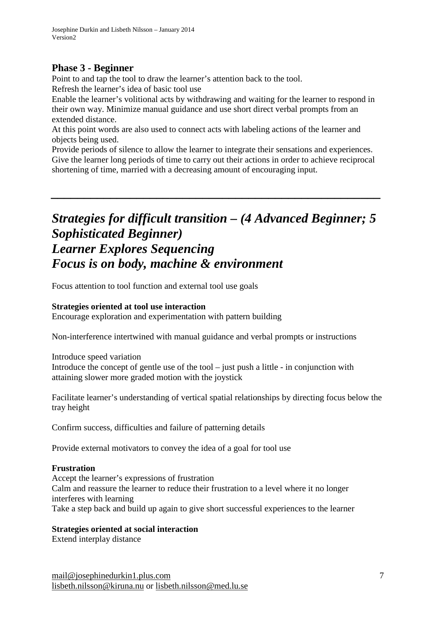## **Phase 3 - Beginner**

Point to and tap the tool to draw the learner's attention back to the tool.

Refresh the learner's idea of basic tool use

Enable the learner's volitional acts by withdrawing and waiting for the learner to respond in their own way. Minimize manual guidance and use short direct verbal prompts from an extended distance.

At this point words are also used to connect acts with labeling actions of the learner and objects being used.

Provide periods of silence to allow the learner to integrate their sensations and experiences. Give the learner long periods of time to carry out their actions in order to achieve reciprocal shortening of time, married with a decreasing amount of encouraging input.

*\_\_\_\_\_\_\_\_\_\_\_\_\_\_\_\_\_\_\_\_\_\_\_\_\_\_\_\_\_\_\_\_\_\_\_\_\_\_\_\_\_\_\_\_\_\_\_\_\_\_*

## *Strategies for difficult transition – (4 Advanced Beginner; 5 Sophisticated Beginner) Learner Explores Sequencing Focus is on body, machine & environment*

Focus attention to tool function and external tool use goals

## **Strategies oriented at tool use interaction**

Encourage exploration and experimentation with pattern building

Non-interference intertwined with manual guidance and verbal prompts or instructions

Introduce speed variation Introduce the concept of gentle use of the tool – just push a little - in conjunction with attaining slower more graded motion with the joystick

Facilitate learner's understanding of vertical spatial relationships by directing focus below the tray height

Confirm success, difficulties and failure of patterning details

Provide external motivators to convey the idea of a goal for tool use

## **Frustration**

Accept the learner's expressions of frustration Calm and reassure the learner to reduce their frustration to a level where it no longer interferes with learning Take a step back and build up again to give short successful experiences to the learner

## **Strategies oriented at social interaction**

Extend interplay distance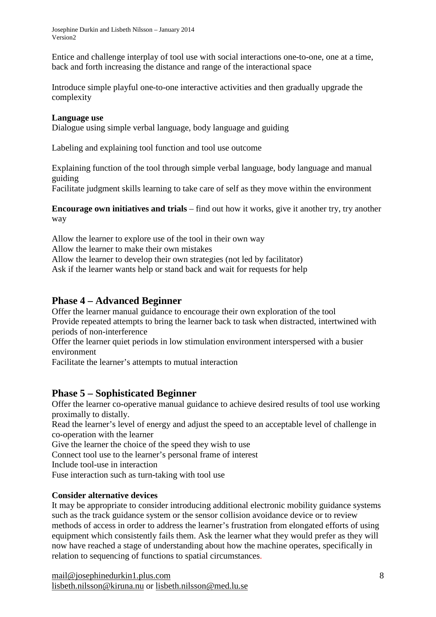Josephine Durkin and Lisbeth Nilsson – January 2014 Version2

Entice and challenge interplay of tool use with social interactions one-to-one, one at a time, back and forth increasing the distance and range of the interactional space

Introduce simple playful one-to-one interactive activities and then gradually upgrade the complexity

#### **Language use**

Dialogue using simple verbal language, body language and guiding

Labeling and explaining tool function and tool use outcome

Explaining function of the tool through simple verbal language, body language and manual guiding

Facilitate judgment skills learning to take care of self as they move within the environment

**Encourage own initiatives and trials** – find out how it works, give it another try, try another way

Allow the learner to explore use of the tool in their own way

Allow the learner to make their own mistakes

Allow the learner to develop their own strategies (not led by facilitator)

Ask if the learner wants help or stand back and wait for requests for help

## **Phase 4 – Advanced Beginner**

Offer the learner manual guidance to encourage their own exploration of the tool Provide repeated attempts to bring the learner back to task when distracted, intertwined with periods of non-interference

Offer the learner quiet periods in low stimulation environment interspersed with a busier environment

Facilitate the learner's attempts to mutual interaction

## **Phase 5 – Sophisticated Beginner**

Offer the learner co-operative manual guidance to achieve desired results of tool use working proximally to distally.

Read the learner's level of energy and adjust the speed to an acceptable level of challenge in co-operation with the learner

Give the learner the choice of the speed they wish to use

Connect tool use to the learner's personal frame of interest

Include tool-use in interaction

Fuse interaction such as turn-taking with tool use

## **Consider alternative devices**

It may be appropriate to consider introducing additional electronic mobility guidance systems such as the track guidance system or the sensor collision avoidance device or to review methods of access in order to address the learner's frustration from elongated efforts of using equipment which consistently fails them. Ask the learner what they would prefer as they will now have reached a stage of understanding about how the machine operates, specifically in relation to sequencing of functions to spatial circumstances.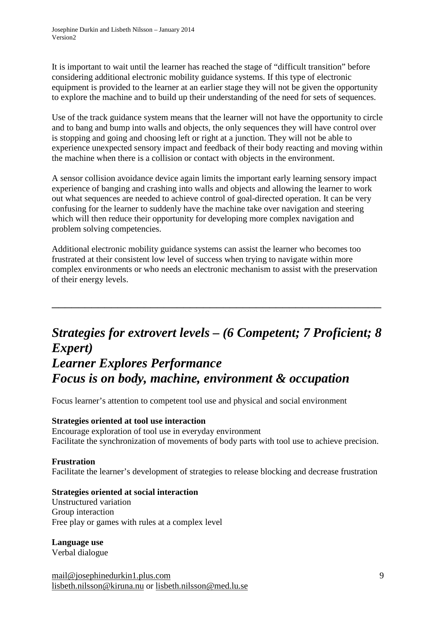It is important to wait until the learner has reached the stage of "difficult transition" before considering additional electronic mobility guidance systems. If this type of electronic equipment is provided to the learner at an earlier stage they will not be given the opportunity to explore the machine and to build up their understanding of the need for sets of sequences.

Use of the track guidance system means that the learner will not have the opportunity to circle and to bang and bump into walls and objects, the only sequences they will have control over is stopping and going and choosing left or right at a junction. They will not be able to experience unexpected sensory impact and feedback of their body reacting and moving within the machine when there is a collision or contact with objects in the environment.

A sensor collision avoidance device again limits the important early learning sensory impact experience of banging and crashing into walls and objects and allowing the learner to work out what sequences are needed to achieve control of goal-directed operation. It can be very confusing for the learner to suddenly have the machine take over navigation and steering which will then reduce their opportunity for developing more complex navigation and problem solving competencies.

Additional electronic mobility guidance systems can assist the learner who becomes too frustrated at their consistent low level of success when trying to navigate within more complex environments or who needs an electronic mechanism to assist with the preservation of their energy levels.

\_\_\_\_\_\_\_\_\_\_\_\_\_\_\_\_\_\_\_\_\_\_\_\_\_\_\_\_\_\_\_\_\_\_\_\_\_\_\_\_\_\_\_\_\_\_\_\_\_\_

## *Strategies for extrovert levels – (6 Competent; 7 Proficient; 8 Expert) Learner Explores Performance Focus is on body, machine, environment & occupation*

Focus learner's attention to competent tool use and physical and social environment

## **Strategies oriented at tool use interaction**

Encourage exploration of tool use in everyday environment Facilitate the synchronization of movements of body parts with tool use to achieve precision.

## **Frustration**

Facilitate the learner's development of strategies to release blocking and decrease frustration

#### **Strategies oriented at social interaction**

Unstructured variation Group interaction Free play or games with rules at a complex level

#### **Language use**

Verbal dialogue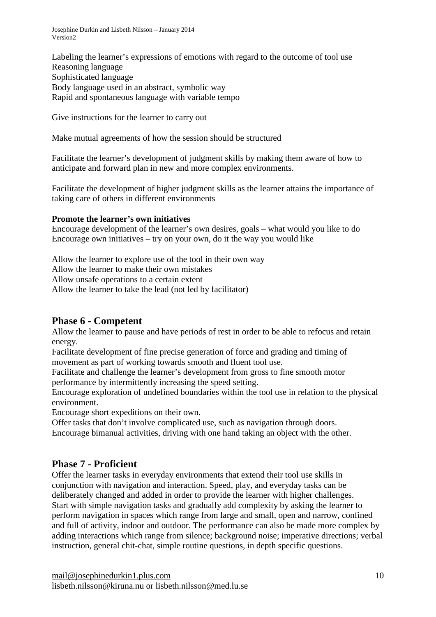Josephine Durkin and Lisbeth Nilsson – January 2014 Version2

Labeling the learner's expressions of emotions with regard to the outcome of tool use Reasoning language Sophisticated language Body language used in an abstract, symbolic way Rapid and spontaneous language with variable tempo

Give instructions for the learner to carry out

Make mutual agreements of how the session should be structured

Facilitate the learner's development of judgment skills by making them aware of how to anticipate and forward plan in new and more complex environments.

Facilitate the development of higher judgment skills as the learner attains the importance of taking care of others in different environments

#### **Promote the learner's own initiatives**

Encourage development of the learner's own desires, goals – what would you like to do Encourage own initiatives – try on your own, do it the way you would like

Allow the learner to explore use of the tool in their own way Allow the learner to make their own mistakes Allow unsafe operations to a certain extent Allow the learner to take the lead (not led by facilitator)

## **Phase 6 - Competent**

Allow the learner to pause and have periods of rest in order to be able to refocus and retain energy.

Facilitate development of fine precise generation of force and grading and timing of movement as part of working towards smooth and fluent tool use.

Facilitate and challenge the learner's development from gross to fine smooth motor performance by intermittently increasing the speed setting.

Encourage exploration of undefined boundaries within the tool use in relation to the physical environment.

Encourage short expeditions on their own.

Offer tasks that don't involve complicated use, such as navigation through doors. Encourage bimanual activities, driving with one hand taking an object with the other.

## **Phase 7 - Proficient**

Offer the learner tasks in everyday environments that extend their tool use skills in conjunction with navigation and interaction. Speed, play, and everyday tasks can be deliberately changed and added in order to provide the learner with higher challenges. Start with simple navigation tasks and gradually add complexity by asking the learner to perform navigation in spaces which range from large and small, open and narrow, confined and full of activity, indoor and outdoor. The performance can also be made more complex by adding interactions which range from silence; background noise; imperative directions; verbal instruction, general chit-chat, simple routine questions, in depth specific questions.